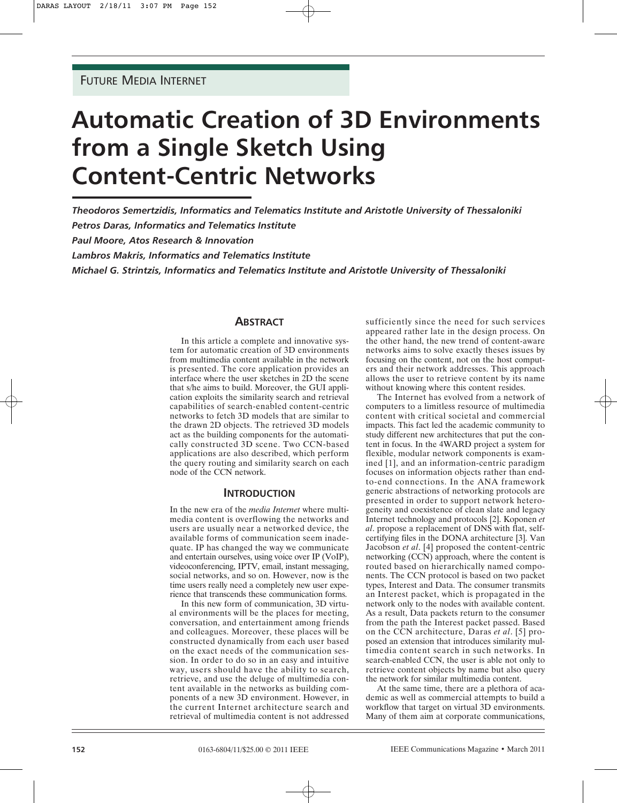# **Automatic Creation of 3D Environments from a Single Sketch Using Content-Centric Networks**

*Theodoros Semertzidis, Informatics and Telematics Institute and Aristotle University of Thessaloniki Petros Daras, Informatics and Telematics Institute*

*Paul Moore, Atos Research & Innovation*

*Lambros Makris, Informatics and Telematics Institute*

*Michael G. Strintzis, Informatics and Telematics Institute and Aristotle University of Thessaloniki*

# **ABSTRACT**

In this article a complete and innovative system for automatic creation of 3D environments from multimedia content available in the network is presented. The core application provides an interface where the user sketches in 2D the scene that s/he aims to build. Moreover, the GUI application exploits the similarity search and retrieval capabilities of search-enabled content-centric networks to fetch 3D models that are similar to the drawn 2D objects. The retrieved 3D models act as the building components for the automatically constructed 3D scene. Two CCN-based applications are also described, which perform the query routing and similarity search on each node of the CCN network.

## **INTRODUCTION**

In the new era of the *media Internet* where multimedia content is overflowing the networks and users are usually near a networked device, the available forms of communication seem inadequate. IP has changed the way we communicate and entertain ourselves, using voice over IP (VoIP), videoconferencing, IPTV, email, instant messaging, social networks, and so on. However, now is the time users really need a completely new user experience that transcends these communication forms.

In this new form of communication, 3D virtual environments will be the places for meeting, conversation, and entertainment among friends and colleagues. Moreover, these places will be constructed dynamically from each user based on the exact needs of the communication session. In order to do so in an easy and intuitive way, users should have the ability to search, retrieve, and use the deluge of multimedia content available in the networks as building components of a new 3D environment. However, in the current Internet architecture search and retrieval of multimedia content is not addressed sufficiently since the need for such services appeared rather late in the design process. On the other hand, the new trend of content-aware networks aims to solve exactly theses issues by focusing on the content, not on the host computers and their network addresses. This approach allows the user to retrieve content by its name without knowing where this content resides.

The Internet has evolved from a network of computers to a limitless resource of multimedia content with critical societal and commercial impacts. This fact led the academic community to study different new architectures that put the content in focus. In the 4WARD project a system for flexible, modular network components is examined [1], and an information-centric paradigm focuses on information objects rather than endto-end connections. In the ANA framework generic abstractions of networking protocols are presented in order to support network heterogeneity and coexistence of clean slate and legacy Internet technology and protocols [2]. Koponen *et al*. propose a replacement of DNS with flat, selfcertifying files in the DONA architecture [3]. Van Jacobson *et al*. [4] proposed the content-centric networking (CCN) approach, where the content is routed based on hierarchically named components. The CCN protocol is based on two packet types, Interest and Data. The consumer transmits an Interest packet, which is propagated in the network only to the nodes with available content. As a result, Data packets return to the consumer from the path the Interest packet passed. Based on the CCN architecture, Daras *et al*. [5] proposed an extension that introduces similarity multimedia content search in such networks. In search-enabled CCN, the user is able not only to retrieve content objects by name but also query the network for similar multimedia content.

At the same time, there are a plethora of academic as well as commercial attempts to build a workflow that target on virtual 3D environments. Many of them aim at corporate communications,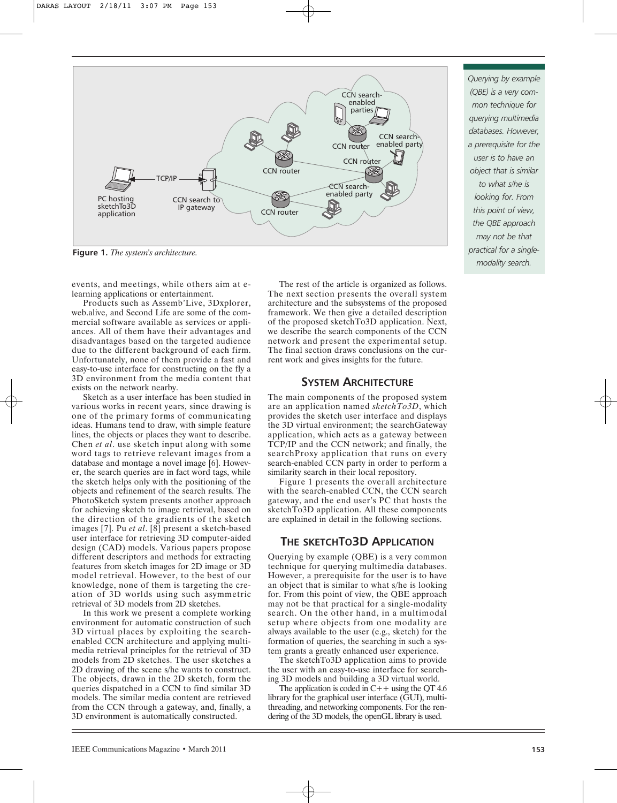

**Figure 1.** *The system's architecture.*

events, and meetings, while others aim at elearning applications or entertainment.

Products such as Assemb'Live, 3Dxplorer, web.alive, and Second Life are some of the commercial software available as services or appliances. All of them have their advantages and disadvantages based on the targeted audience due to the different background of each firm. Unfortunately, none of them provide a fast and easy-to-use interface for constructing on the fly a 3D environment from the media content that exists on the network nearby.

Sketch as a user interface has been studied in various works in recent years, since drawing is one of the primary forms of communicating ideas. Humans tend to draw, with simple feature lines, the objects or places they want to describe. Chen *et al*. use sketch input along with some word tags to retrieve relevant images from a database and montage a novel image [6]. However, the search queries are in fact word tags, while the sketch helps only with the positioning of the objects and refinement of the search results. The PhotoSketch system presents another approach for achieving sketch to image retrieval, based on the direction of the gradients of the sketch images [7]. Pu *et al*. [8] present a sketch-based user interface for retrieving 3D computer-aided design (CAD) models. Various papers propose different descriptors and methods for extracting features from sketch images for 2D image or 3D model retrieval. However, to the best of our knowledge, none of them is targeting the creation of 3D worlds using such asymmetric retrieval of 3D models from 2D sketches.

In this work we present a complete working environment for automatic construction of such 3D virtual places by exploiting the searchenabled CCN architecture and applying multimedia retrieval principles for the retrieval of 3D models from 2D sketches. The user sketches a 2D drawing of the scene s/he wants to construct. The objects, drawn in the 2D sketch, form the queries dispatched in a CCN to find similar 3D models. The similar media content are retrieved from the CCN through a gateway, and, finally, a 3D environment is automatically constructed.

The rest of the article is organized as follows. The next section presents the overall system architecture and the subsystems of the proposed framework. We then give a detailed description of the proposed sketchTo3D application. Next, we describe the search components of the CCN network and present the experimental setup. The final section draws conclusions on the current work and gives insights for the future.

# **SYSTEM ARCHITECTURE**

The main components of the proposed system are an application named *sketchTo3D*, which provides the sketch user interface and displays the 3D virtual environment; the searchGateway application, which acts as a gateway between TCP/IP and the CCN network; and finally, the searchProxy application that runs on every search-enabled CCN party in order to perform a similarity search in their local repository.

Figure 1 presents the overall architecture with the search-enabled CCN, the CCN search gateway, and the end user's PC that hosts the sketchTo3D application. All these components are explained in detail in the following sections.

# **THE SKETCHTO3D APPLICATION**

Querying by example (QBE) is a very common technique for querying multimedia databases. However, a prerequisite for the user is to have an object that is similar to what s/he is looking for. From this point of view, the QBE approach may not be that practical for a single-modality search. On the other hand, in a multimodal setup where objects from one modality are always available to the user (e.g., sketch) for the formation of queries, the searching in such a system grants a greatly enhanced user experience.

The sketchTo3D application aims to provide the user with an easy-to-use interface for searching 3D models and building a 3D virtual world.

The application is coded in  $C++$  using the OT 4.6 library for the graphical user interface (GUI), multithreading, and networking components. For the rendering of the 3D models, the openGL library is used.

*Querying by example (QBE) is a very common technique for querying multimedia databases. However, a prerequisite for the user is to have an object that is similar to what s/he is looking for. From this point of view, the QBE approach may not be that practical for a singlemodality search.*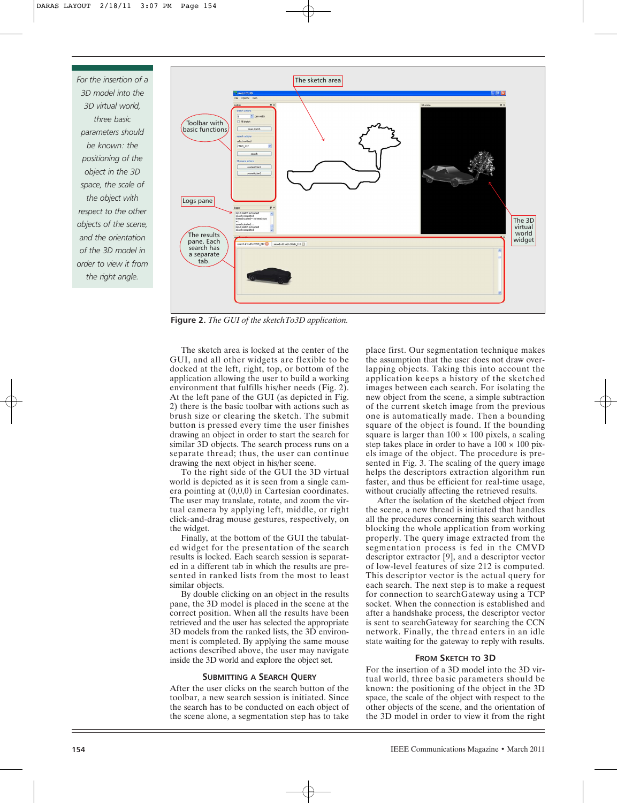*For the insertion of a 3D model into the 3D virtual world, three basic parameters should be known: the positioning of the object in the 3D space, the scale of the object with respect to the other objects of the scene, and the orientation of the 3D model in order to view it from the right angle.*



**Figure 2.** *The GUI of the sketchTo3D application.*

The sketch area is locked at the center of the GUI, and all other widgets are flexible to be docked at the left, right, top, or bottom of the application allowing the user to build a working environment that fulfills his/her needs (Fig. 2). At the left pane of the GUI (as depicted in Fig. 2) there is the basic toolbar with actions such as brush size or clearing the sketch. The submit button is pressed every time the user finishes drawing an object in order to start the search for similar 3D objects. The search process runs on a separate thread; thus, the user can continue drawing the next object in his/her scene.

To the right side of the GUI the 3D virtual world is depicted as it is seen from a single camera pointing at (0,0,0) in Cartesian coordinates. The user may translate, rotate, and zoom the virtual camera by applying left, middle, or right click-and-drag mouse gestures, respectively, on the widget.

Finally, at the bottom of the GUI the tabulated widget for the presentation of the search results is locked. Each search session is separated in a different tab in which the results are presented in ranked lists from the most to least similar objects.

By double clicking on an object in the results pane, the 3D model is placed in the scene at the correct position. When all the results have been retrieved and the user has selected the appropriate 3D models from the ranked lists, the 3D environment is completed. By applying the same mouse actions described above, the user may navigate inside the 3D world and explore the object set.

#### **SUBMITTING A SEARCH QUERY**

After the user clicks on the search button of the toolbar, a new search session is initiated. Since the search has to be conducted on each object of the scene alone, a segmentation step has to take place first. Our segmentation technique makes the assumption that the user does not draw overlapping objects. Taking this into account the application keeps a history of the sketched images between each search. For isolating the new object from the scene, a simple subtraction of the current sketch image from the previous one is automatically made. Then a bounding square of the object is found. If the bounding square is larger than  $100 \times 100$  pixels, a scaling step takes place in order to have a  $100 \times 100$  pixels image of the object. The procedure is presented in Fig. 3. The scaling of the query image helps the descriptors extraction algorithm run faster, and thus be efficient for real-time usage, without crucially affecting the retrieved results.

After the isolation of the sketched object from the scene, a new thread is initiated that handles all the procedures concerning this search without blocking the whole application from working properly. The query image extracted from the segmentation process is fed in the CMVD descriptor extractor [9], and a descriptor vector of low-level features of size 212 is computed. This descriptor vector is the actual query for each search. The next step is to make a request for connection to searchGateway using a TCP socket. When the connection is established and after a handshake process, the descriptor vector is sent to searchGateway for searching the CCN network. Finally, the thread enters in an idle state waiting for the gateway to reply with results.

## **FROM SKETCH TO 3D**

For the insertion of a 3D model into the 3D virtual world, three basic parameters should be known: the positioning of the object in the 3D space, the scale of the object with respect to the other objects of the scene, and the orientation of the 3D model in order to view it from the right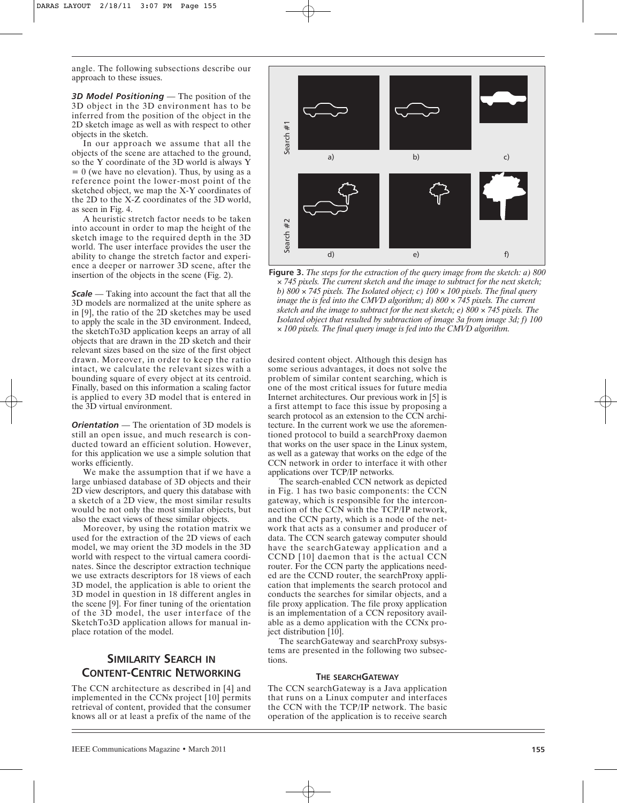angle. The following subsections describe our approach to these issues.

*3D Model Positioning* — The position of the 3D object in the 3D environment has to be inferred from the position of the object in the 2D sketch image as well as with respect to other objects in the sketch.

In our approach we assume that all the objects of the scene are attached to the ground, so the Y coordinate of the 3D world is always Y  $= 0$  (we have no elevation). Thus, by using as a reference point the lower-most point of the sketched object, we map the X-Y coordinates of the 2D to the X-Z coordinates of the 3D world, as seen in Fig. 4.

A heuristic stretch factor needs to be taken into account in order to map the height of the sketch image to the required depth in the 3D world. The user interface provides the user the ability to change the stretch factor and experience a deeper or narrower 3D scene, after the insertion of the objects in the scene (Fig. 2).

*Scale* — Taking into account the fact that all the 3D models are normalized at the unite sphere as in [9], the ratio of the 2D sketches may be used to apply the scale in the 3D environment. Indeed, the sketchTo3D application keeps an array of all objects that are drawn in the 2D sketch and their relevant sizes based on the size of the first object drawn. Moreover, in order to keep the ratio intact, we calculate the relevant sizes with a bounding square of every object at its centroid. Finally, based on this information a scaling factor is applied to every 3D model that is entered in the 3D virtual environment.

*Orientation* — The orientation of 3D models is still an open issue, and much research is conducted toward an efficient solution. However, for this application we use a simple solution that works efficiently.

We make the assumption that if we have a large unbiased database of 3D objects and their 2D view descriptors, and query this database with a sketch of a 2D view, the most similar results would be not only the most similar objects, but also the exact views of these similar objects.

Moreover, by using the rotation matrix we used for the extraction of the 2D views of each model, we may orient the 3D models in the 3D world with respect to the virtual camera coordinates. Since the descriptor extraction technique we use extracts descriptors for 18 views of each 3D model, the application is able to orient the 3D model in question in 18 different angles in the scene [9]. For finer tuning of the orientation of the 3D model, the user interface of the SketchTo3D application allows for manual inplace rotation of the model.

# **SIMILARITY SEARCH IN CONTENT-CENTRIC NETWORKING**

The CCN architecture as described in [4] and implemented in the CCNx project [10] permits retrieval of content, provided that the consumer knows all or at least a prefix of the name of the



**Figure 3.** *The steps for the extraction of the query image from the sketch: a) 800* × *745 pixels. The current sketch and the image to subtract for the next sketch; b) 800* × *745 pixels. The Isolated object; c) 100* × *100 pixels. The final query image the is fed into the CMVD algorithm; d) 800* × *745 pixels. The current sketch and the image to subtract for the next sketch; e) 800* × *745 pixels. The Isolated object that resulted by subtraction of image 3a from image 3d; f) 100*

desired content object. Although this design has some serious advantages, it does not solve the problem of similar content searching, which is one of the most critical issues for future media Internet architectures. Our previous work in [5] is a first attempt to face this issue by proposing a search protocol as an extension to the CCN architecture. In the current work we use the aforementioned protocol to build a searchProxy daemon that works on the user space in the Linux system, as well as a gateway that works on the edge of the CCN network in order to interface it with other applications over TCP/IP networks.

The search-enabled CCN network as depicted in Fig. 1 has two basic components: the CCN gateway, which is responsible for the interconnection of the CCN with the TCP/IP network, and the CCN party, which is a node of the network that acts as a consumer and producer of data. The CCN search gateway computer should have the searchGateway application and a CCND [10] daemon that is the actual CCN router. For the CCN party the applications needed are the CCND router, the searchProxy application that implements the search protocol and conducts the searches for similar objects, and a file proxy application. The file proxy application is an implementation of a CCN repository available as a demo application with the CCNx project distribution [10].

The searchGateway and searchProxy subsystems are presented in the following two subsections.

#### **THE SEARCHGATEWAY**

The CCN searchGateway is a Java application that runs on a Linux computer and interfaces the CCN with the TCP/IP network. The basic operation of the application is to receive search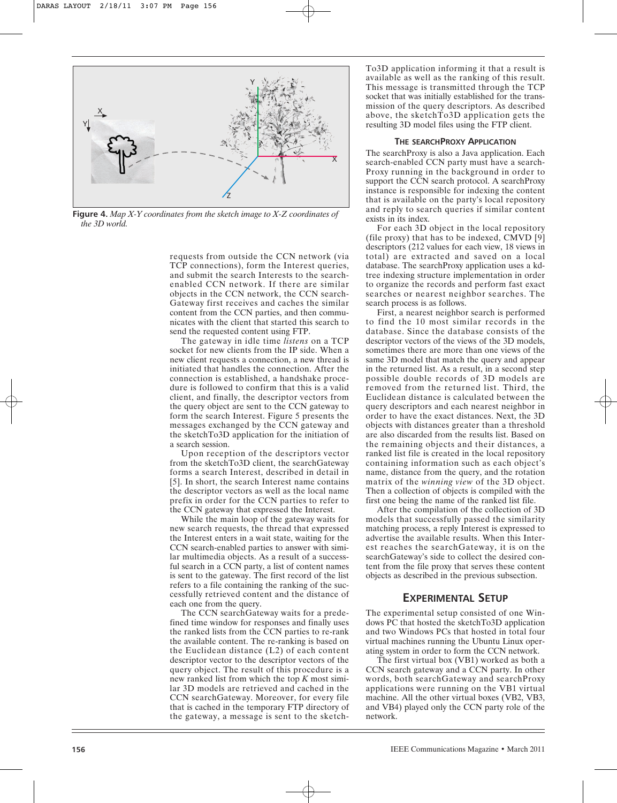

**Figure 4.** *Map X-Y coordinates from the sketch image to X-Z coordinates of the 3D world.*

requests from outside the CCN network (via TCP connections), form the Interest queries, and submit the search Interests to the searchenabled CCN network. If there are similar objects in the CCN network, the CCN search-Gateway first receives and caches the similar content from the CCN parties, and then communicates with the client that started this search to send the requested content using FTP.

The gateway in idle time *listens* on a TCP socket for new clients from the IP side. When a new client requests a connection, a new thread is initiated that handles the connection. After the connection is established, a handshake procedure is followed to confirm that this is a valid client, and finally, the descriptor vectors from the query object are sent to the CCN gateway to form the search Interest. Figure 5 presents the messages exchanged by the CCN gateway and the sketchTo3D application for the initiation of a search session.

Upon reception of the descriptors vector from the sketchTo3D client, the searchGateway forms a search Interest, described in detail in [5]. In short, the search Interest name contains the descriptor vectors as well as the local name prefix in order for the CCN parties to refer to the CCN gateway that expressed the Interest.

While the main loop of the gateway waits for new search requests, the thread that expressed the Interest enters in a wait state, waiting for the CCN search-enabled parties to answer with similar multimedia objects. As a result of a successful search in a CCN party, a list of content names is sent to the gateway. The first record of the list refers to a file containing the ranking of the successfully retrieved content and the distance of each one from the query.

The CCN searchGateway waits for a predefined time window for responses and finally uses the ranked lists from the CCN parties to re-rank the available content. The re-ranking is based on the Euclidean distance (L2) of each content descriptor vector to the descriptor vectors of the query object. The result of this procedure is a new ranked list from which the top *K* most similar 3D models are retrieved and cached in the CCN searchGateway. Moreover, for every file that is cached in the temporary FTP directory of the gateway, a message is sent to the sketchTo3D application informing it that a result is available as well as the ranking of this result. This message is transmitted through the TCP socket that was initially established for the transmission of the query descriptors. As described above, the sketchTo3D application gets the resulting 3D model files using the FTP client.

#### **THE SEARCHPROXY APPLICATION**

The searchProxy is also a Java application. Each search-enabled CCN party must have a search-Proxy running in the background in order to support the CCN search protocol. A searchProxy instance is responsible for indexing the content that is available on the party's local repository and reply to search queries if similar content exists in its index.

For each 3D object in the local repository (file proxy) that has to be indexed, CMVD [9] descriptors (212 values for each view, 18 views in total) are extracted and saved on a local database. The searchProxy application uses a kdtree indexing structure implementation in order to organize the records and perform fast exact searches or nearest neighbor searches. The search process is as follows.

First, a nearest neighbor search is performed to find the 10 most similar records in the database. Since the database consists of the descriptor vectors of the views of the 3D models, sometimes there are more than one views of the same 3D model that match the query and appear in the returned list. As a result, in a second step possible double records of 3D models are removed from the returned list. Third, the Euclidean distance is calculated between the query descriptors and each nearest neighbor in order to have the exact distances. Next, the 3D objects with distances greater than a threshold are also discarded from the results list. Based on the remaining objects and their distances, a ranked list file is created in the local repository containing information such as each object's name, distance from the query, and the rotation matrix of the *winning view* of the 3D object. Then a collection of objects is compiled with the first one being the name of the ranked list file.

After the compilation of the collection of 3D models that successfully passed the similarity matching process, a reply Interest is expressed to advertise the available results. When this Interest reaches the searchGateway, it is on the searchGateway's side to collect the desired content from the file proxy that serves these content objects as described in the previous subsection.

## **EXPERIMENTAL SETUP**

The experimental setup consisted of one Windows PC that hosted the sketchTo3D application and two Windows PCs that hosted in total four virtual machines running the Ubuntu Linux operating system in order to form the CCN network.

The first virtual box (VB1) worked as both a CCN search gateway and a CCN party. In other words, both searchGateway and searchProxy applications were running on the VB1 virtual machine. All the other virtual boxes (VB2, VB3, and VB4) played only the CCN party role of the network.